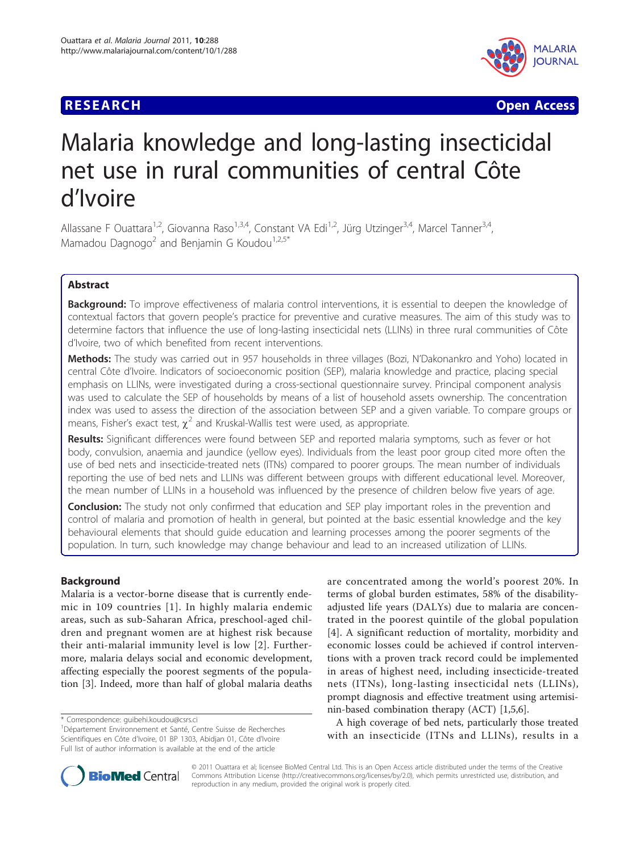# **RESEARCH CONSTRUCTION CONSTRUCTION CONSTRUCTS**



# Malaria knowledge and long-lasting insecticidal net use in rural communities of central Côte d'Ivoire

Allassane F Ouattara<sup>1,2</sup>, Giovanna Raso<sup>1,3,4</sup>, Constant VA Edi<sup>1,2</sup>, Jürg Utzinger<sup>3,4</sup>, Marcel Tanner<sup>3,4</sup>, Mamadou Dagnogo<sup>2</sup> and Benjamin G Koudou<sup>1,2,5\*</sup>

# Abstract

**Background:** To improve effectiveness of malaria control interventions, it is essential to deepen the knowledge of contextual factors that govern people's practice for preventive and curative measures. The aim of this study was to determine factors that influence the use of long-lasting insecticidal nets (LLINs) in three rural communities of Côte d'Ivoire, two of which benefited from recent interventions.

Methods: The study was carried out in 957 households in three villages (Bozi, N'Dakonankro and Yoho) located in central Côte d'Ivoire. Indicators of socioeconomic position (SEP), malaria knowledge and practice, placing special emphasis on LLINs, were investigated during a cross-sectional questionnaire survey. Principal component analysis was used to calculate the SEP of households by means of a list of household assets ownership. The concentration index was used to assess the direction of the association between SEP and a given variable. To compare groups or means, Fisher's exact test,  $\chi^2$  and Kruskal-Wallis test were used, as appropriate.

Results: Significant differences were found between SEP and reported malaria symptoms, such as fever or hot body, convulsion, anaemia and jaundice (yellow eyes). Individuals from the least poor group cited more often the use of bed nets and insecticide-treated nets (ITNs) compared to poorer groups. The mean number of individuals reporting the use of bed nets and LLINs was different between groups with different educational level. Moreover, the mean number of LLINs in a household was influenced by the presence of children below five years of age.

**Conclusion:** The study not only confirmed that education and SEP play important roles in the prevention and control of malaria and promotion of health in general, but pointed at the basic essential knowledge and the key behavioural elements that should guide education and learning processes among the poorer segments of the population. In turn, such knowledge may change behaviour and lead to an increased utilization of LLINs.

# Background

Malaria is a vector-borne disease that is currently endemic in 109 countries [[1\]](#page-10-0). In highly malaria endemic areas, such as sub-Saharan Africa, preschool-aged children and pregnant women are at highest risk because their anti-malarial immunity level is low [[2](#page-10-0)]. Furthermore, malaria delays social and economic development, affecting especially the poorest segments of the population [[3](#page-10-0)]. Indeed, more than half of global malaria deaths

are concentrated among the world's poorest 20%. In terms of global burden estimates, 58% of the disabilityadjusted life years (DALYs) due to malaria are concentrated in the poorest quintile of the global population [[4](#page-10-0)]. A significant reduction of mortality, morbidity and economic losses could be achieved if control interventions with a proven track record could be implemented in areas of highest need, including insecticide-treated nets (ITNs), long-lasting insecticidal nets (LLINs), prompt diagnosis and effective treatment using artemisinin-based combination therapy (ACT) [\[1,5,6](#page-10-0)].

A high coverage of bed nets, particularly those treated with an insecticide (ITNs and LLINs), results in a



© 2011 Ouattara et al; licensee BioMed Central Ltd. This is an Open Access article distributed under the terms of the Creative Commons Attribution License [\(http://creativecommons.org/licenses/by/2.0](http://creativecommons.org/licenses/by/2.0)), which permits unrestricted use, distribution, and reproduction in any medium, provided the original work is properly cited.

<sup>\*</sup> Correspondence: [guibehi.koudou@csrs.ci](mailto:guibehi.koudou@csrs.ci)

<sup>1</sup> Département Environnement et Santé, Centre Suisse de Recherches Scientifiques en Côte d'Ivoire, 01 BP 1303, Abidjan 01, Côte d'Ivoire Full list of author information is available at the end of the article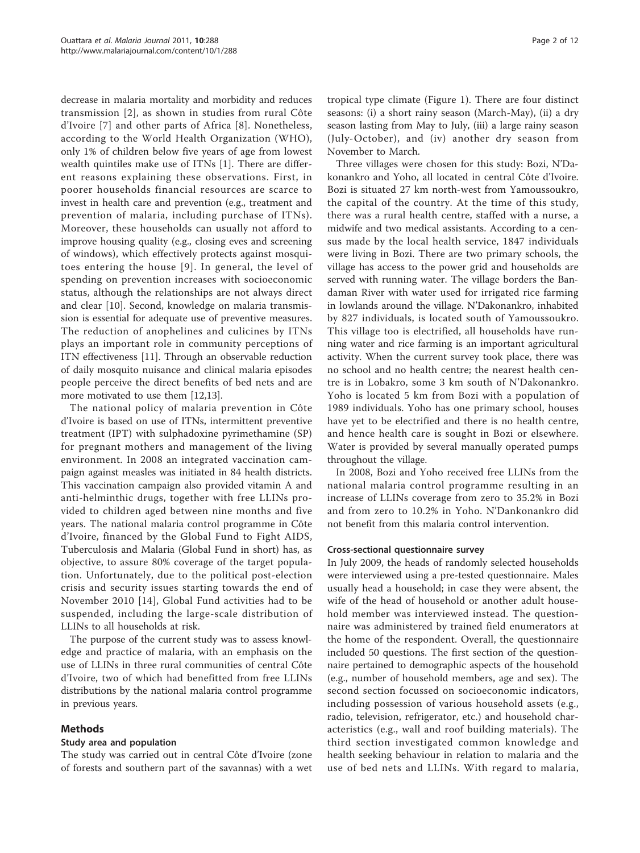decrease in malaria mortality and morbidity and reduces transmission [\[2\]](#page-10-0), as shown in studies from rural Côte d'Ivoire [[7\]](#page-10-0) and other parts of Africa [\[8](#page-10-0)]. Nonetheless, according to the World Health Organization (WHO), only 1% of children below five years of age from lowest wealth quintiles make use of ITNs [\[1](#page-10-0)]. There are different reasons explaining these observations. First, in poorer households financial resources are scarce to invest in health care and prevention (e.g., treatment and prevention of malaria, including purchase of ITNs). Moreover, these households can usually not afford to improve housing quality (e.g., closing eves and screening of windows), which effectively protects against mosquitoes entering the house [[9\]](#page-11-0). In general, the level of spending on prevention increases with socioeconomic status, although the relationships are not always direct and clear [[10\]](#page-11-0). Second, knowledge on malaria transmission is essential for adequate use of preventive measures. The reduction of anophelines and culicines by ITNs plays an important role in community perceptions of ITN effectiveness [\[11](#page-11-0)]. Through an observable reduction of daily mosquito nuisance and clinical malaria episodes people perceive the direct benefits of bed nets and are more motivated to use them [\[12,13](#page-11-0)].

The national policy of malaria prevention in Côte d'Ivoire is based on use of ITNs, intermittent preventive treatment (IPT) with sulphadoxine pyrimethamine (SP) for pregnant mothers and management of the living environment. In 2008 an integrated vaccination campaign against measles was initiated in 84 health districts. This vaccination campaign also provided vitamin A and anti-helminthic drugs, together with free LLINs provided to children aged between nine months and five years. The national malaria control programme in Côte d'Ivoire, financed by the Global Fund to Fight AIDS, Tuberculosis and Malaria (Global Fund in short) has, as objective, to assure 80% coverage of the target population. Unfortunately, due to the political post-election crisis and security issues starting towards the end of November 2010 [[14](#page-11-0)], Global Fund activities had to be suspended, including the large-scale distribution of LLINs to all households at risk.

The purpose of the current study was to assess knowledge and practice of malaria, with an emphasis on the use of LLINs in three rural communities of central Côte d'Ivoire, two of which had benefitted from free LLINs distributions by the national malaria control programme in previous years.

# Methods

### Study area and population

The study was carried out in central Côte d'Ivoire (zone of forests and southern part of the savannas) with a wet

tropical type climate (Figure [1](#page-2-0)). There are four distinct seasons: (i) a short rainy season (March-May), (ii) a dry season lasting from May to July, (iii) a large rainy season (July-October), and (iv) another dry season from November to March.

Three villages were chosen for this study: Bozi, N'Dakonankro and Yoho, all located in central Côte d'Ivoire. Bozi is situated 27 km north-west from Yamoussoukro, the capital of the country. At the time of this study, there was a rural health centre, staffed with a nurse, a midwife and two medical assistants. According to a census made by the local health service, 1847 individuals were living in Bozi. There are two primary schools, the village has access to the power grid and households are served with running water. The village borders the Bandaman River with water used for irrigated rice farming in lowlands around the village. N'Dakonankro, inhabited by 827 individuals, is located south of Yamoussoukro. This village too is electrified, all households have running water and rice farming is an important agricultural activity. When the current survey took place, there was no school and no health centre; the nearest health centre is in Lobakro, some 3 km south of N'Dakonankro. Yoho is located 5 km from Bozi with a population of 1989 individuals. Yoho has one primary school, houses have yet to be electrified and there is no health centre, and hence health care is sought in Bozi or elsewhere. Water is provided by several manually operated pumps throughout the village.

In 2008, Bozi and Yoho received free LLINs from the national malaria control programme resulting in an increase of LLINs coverage from zero to 35.2% in Bozi and from zero to 10.2% in Yoho. N'Dankonankro did not benefit from this malaria control intervention.

#### Cross-sectional questionnaire survey

In July 2009, the heads of randomly selected households were interviewed using a pre-tested questionnaire. Males usually head a household; in case they were absent, the wife of the head of household or another adult household member was interviewed instead. The questionnaire was administered by trained field enumerators at the home of the respondent. Overall, the questionnaire included 50 questions. The first section of the questionnaire pertained to demographic aspects of the household (e.g., number of household members, age and sex). The second section focussed on socioeconomic indicators, including possession of various household assets (e.g., radio, television, refrigerator, etc.) and household characteristics (e.g., wall and roof building materials). The third section investigated common knowledge and health seeking behaviour in relation to malaria and the use of bed nets and LLINs. With regard to malaria,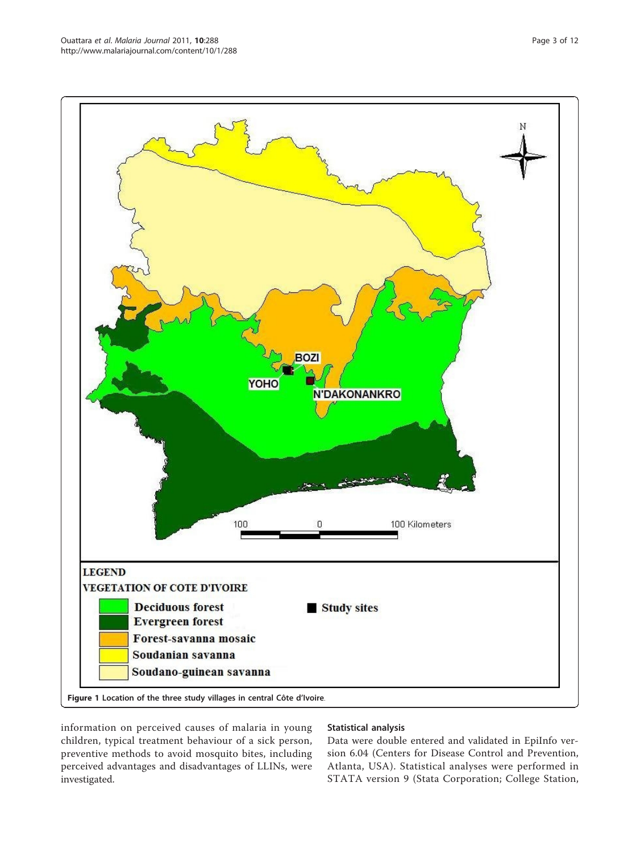<span id="page-2-0"></span>

information on perceived causes of malaria in young children, typical treatment behaviour of a sick person, preventive methods to avoid mosquito bites, including perceived advantages and disadvantages of LLINs, were investigated.

# Statistical analysis

Data were double entered and validated in EpiInfo version 6.04 (Centers for Disease Control and Prevention, Atlanta, USA). Statistical analyses were performed in STATA version 9 (Stata Corporation; College Station,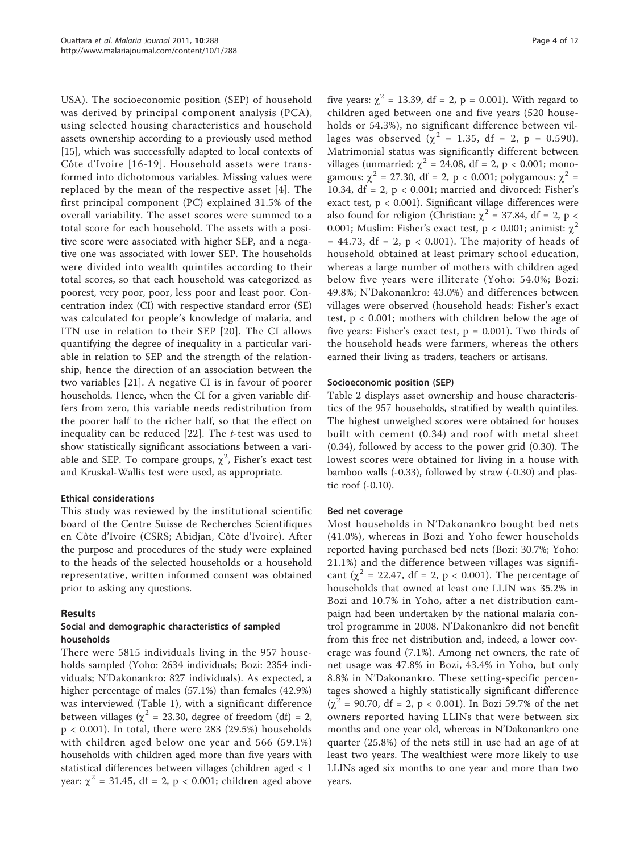USA). The socioeconomic position (SEP) of household was derived by principal component analysis (PCA), using selected housing characteristics and household assets ownership according to a previously used method [[15\]](#page-11-0), which was successfully adapted to local contexts of Côte d'Ivoire [[16-19](#page-11-0)]. Household assets were transformed into dichotomous variables. Missing values were replaced by the mean of the respective asset [[4](#page-10-0)]. The first principal component (PC) explained 31.5% of the overall variability. The asset scores were summed to a total score for each household. The assets with a positive score were associated with higher SEP, and a negative one was associated with lower SEP. The households were divided into wealth quintiles according to their total scores, so that each household was categorized as poorest, very poor, poor, less poor and least poor. Concentration index (CI) with respective standard error (SE) was calculated for people's knowledge of malaria, and ITN use in relation to their SEP [[20\]](#page-11-0). The CI allows quantifying the degree of inequality in a particular variable in relation to SEP and the strength of the relationship, hence the direction of an association between the two variables [[21\]](#page-11-0). A negative CI is in favour of poorer households. Hence, when the CI for a given variable differs from zero, this variable needs redistribution from the poorer half to the richer half, so that the effect on inequality can be reduced  $[22]$  $[22]$ . The *t*-test was used to show statistically significant associations between a variable and SEP. To compare groups,  $\chi^2$ , Fisher's exact test and Kruskal-Wallis test were used, as appropriate.

# Ethical considerations

This study was reviewed by the institutional scientific board of the Centre Suisse de Recherches Scientifiques en Côte d'Ivoire (CSRS; Abidjan, Côte d'Ivoire). After the purpose and procedures of the study were explained to the heads of the selected households or a household representative, written informed consent was obtained prior to asking any questions.

#### Results

## Social and demographic characteristics of sampled households

There were 5815 individuals living in the 957 households sampled (Yoho: 2634 individuals; Bozi: 2354 individuals; N'Dakonankro: 827 individuals). As expected, a higher percentage of males (57.1%) than females (42.9%) was interviewed (Table [1](#page-4-0)), with a significant difference between villages ( $\chi^2$  = 23.30, degree of freedom (df) = 2,  $p < 0.001$ ). In total, there were 283 (29.5%) households with children aged below one year and 566 (59.1%) households with children aged more than five years with statistical differences between villages (children aged < 1 year:  $\chi^2$  = 31.45, df = 2, p < 0.001; children aged above

five years:  $\chi^2$  = 13.39, df = 2, p = 0.001). With regard to children aged between one and five years (520 households or 54.3%), no significant difference between villages was observed ( $\chi^2 = 1.35$ , df = 2, p = 0.590). Matrimonial status was significantly different between villages (unmarried:  $\chi^2$  = 24.08, df = 2, p < 0.001; monogamous:  $\chi^2 = 27.30$ , df = 2, p < 0.001; polygamous:  $\chi^2 =$ 10.34,  $df = 2$ ,  $p < 0.001$ ; married and divorced: Fisher's exact test, p < 0.001). Significant village differences were also found for religion (Christian:  $\chi^2$  = 37.84, df = 2, p < 0.001; Muslim: Fisher's exact test,  $p < 0.001$ ; animist:  $\chi^2$  $= 44.73$ , df  $= 2$ ,  $p < 0.001$ ). The majority of heads of household obtained at least primary school education, whereas a large number of mothers with children aged below five years were illiterate (Yoho: 54.0%; Bozi: 49.8%; N'Dakonankro: 43.0%) and differences between villages were observed (household heads: Fisher's exact test, p < 0.001; mothers with children below the age of five years: Fisher's exact test,  $p = 0.001$ ). Two thirds of the household heads were farmers, whereas the others earned their living as traders, teachers or artisans.

#### Socioeconomic position (SEP)

Table [2](#page-5-0) displays asset ownership and house characteristics of the 957 households, stratified by wealth quintiles. The highest unweighed scores were obtained for houses built with cement (0.34) and roof with metal sheet (0.34), followed by access to the power grid (0.30). The lowest scores were obtained for living in a house with bamboo walls (-0.33), followed by straw (-0.30) and plastic roof (-0.10).

#### Bed net coverage

Most households in N'Dakonankro bought bed nets (41.0%), whereas in Bozi and Yoho fewer households reported having purchased bed nets (Bozi: 30.7%; Yoho: 21.1%) and the difference between villages was significant ( $\chi^2$  = 22.47, df = 2, p < 0.001). The percentage of households that owned at least one LLIN was 35.2% in Bozi and 10.7% in Yoho, after a net distribution campaign had been undertaken by the national malaria control programme in 2008. N'Dakonankro did not benefit from this free net distribution and, indeed, a lower coverage was found (7.1%). Among net owners, the rate of net usage was 47.8% in Bozi, 43.4% in Yoho, but only 8.8% in N'Dakonankro. These setting-specific percentages showed a highly statistically significant difference  $(\chi^2 = 90.70, df = 2, p < 0.001)$ . In Bozi 59.7% of the net owners reported having LLINs that were between six months and one year old, whereas in N'Dakonankro one quarter (25.8%) of the nets still in use had an age of at least two years. The wealthiest were more likely to use LLINs aged six months to one year and more than two years.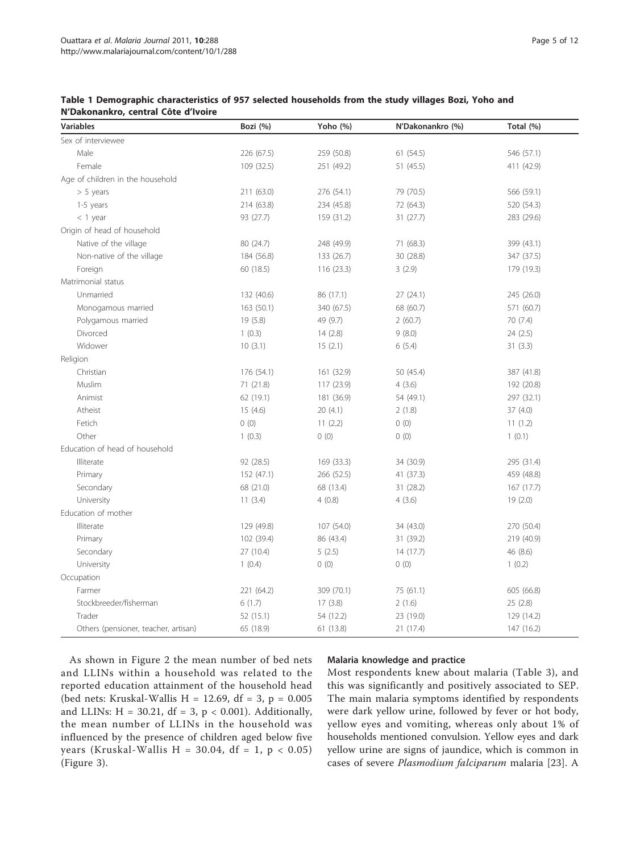<span id="page-4-0"></span>

| Table 1 Demographic characteristics of 957 selected households from the study villages Bozi, Yoho and |  |  |
|-------------------------------------------------------------------------------------------------------|--|--|
| N'Dakonankro, central Côte d'Ivoire                                                                   |  |  |

| <b>Variables</b>                     | Bozi (%)   | Yoho (%)   | N'Dakonankro (%) | Total (%)  |
|--------------------------------------|------------|------------|------------------|------------|
| Sex of interviewee                   |            |            |                  |            |
| Male                                 | 226 (67.5) | 259 (50.8) | 61(54.5)         | 546 (57.1) |
| Female                               | 109 (32.5) | 251 (49.2) | 51(45.5)         | 411 (42.9) |
| Age of children in the household     |            |            |                  |            |
| $> 5$ years                          | 211 (63.0) | 276 (54.1) | 79 (70.5)        | 566 (59.1) |
| 1-5 years                            | 214 (63.8) | 234 (45.8) | 72 (64.3)        | 520 (54.3) |
| $<$ 1 year                           | 93 (27.7)  | 159 (31.2) | 31(27.7)         | 283 (29.6) |
| Origin of head of household          |            |            |                  |            |
| Native of the village                | 80 (24.7)  | 248 (49.9) | 71 (68.3)        | 399 (43.1) |
| Non-native of the village            | 184 (56.8) | 133 (26.7) | 30 (28.8)        | 347 (37.5) |
| Foreign                              | 60 (18.5)  | 116 (23.3) | 3(2.9)           | 179 (19.3) |
| Matrimonial status                   |            |            |                  |            |
| Unmarried                            | 132 (40.6) | 86 (17.1)  | 27(24.1)         | 245 (26.0) |
| Monogamous married                   | 163 (50.1) | 340 (67.5) | 68 (60.7)        | 571 (60.7) |
| Polygamous married                   | 19 (5.8)   | 49 (9.7)   | 2(60.7)          | 70 (7.4)   |
| Divorced                             | 1(0.3)     | 14(2.8)    | 9(8.0)           | 24(2.5)    |
| Widower                              | 10(3.1)    | 15(2.1)    | 6(5.4)           | 31(3.3)    |
| Religion                             |            |            |                  |            |
| Christian                            | 176 (54.1) | 161 (32.9) | 50 (45.4)        | 387 (41.8) |
| Muslim                               | 71 (21.8)  | 117 (23.9) | 4(3.6)           | 192 (20.8) |
| Animist                              | 62 (19.1)  | 181 (36.9) | 54 (49.1)        | 297 (32.1) |
| Atheist                              | 15(4.6)    | 20(4.1)    | 2(1.8)           | 37(4.0)    |
| Fetich                               | 0(0)       | 11(2.2)    | 0(0)             | 11(1.2)    |
| Other                                | 1(0.3)     | 0(0)       | 0(0)             | 1(0.1)     |
| Education of head of household       |            |            |                  |            |
| Illiterate                           | 92 (28.5)  | 169 (33.3) | 34 (30.9)        | 295 (31.4) |
| Primary                              | 152 (47.1) | 266 (52.5) | 41 (37.3)        | 459 (48.8) |
| Secondary                            | 68 (21.0)  | 68 (13.4)  | 31 (28.2)        | 167 (17.7) |
| University                           | 11(3.4)    | 4(0.8)     | 4(3.6)           | 19(2.0)    |
| Education of mother                  |            |            |                  |            |
| Illiterate                           | 129 (49.8) | 107 (54.0) | 34 (43.0)        | 270 (50.4) |
| Primary                              | 102 (39.4) | 86 (43.4)  | 31 (39.2)        | 219 (40.9) |
| Secondary                            | 27 (10.4)  | 5(2.5)     | 14(17.7)         | 46 (8.6)   |
| University                           | 1(0.4)     | 0(0)       | 0(0)             | 1(0.2)     |
| Occupation                           |            |            |                  |            |
| Farmer                               | 221 (64.2) | 309 (70.1) | 75 (61.1)        | 605 (66.8) |
| Stockbreeder/fisherman               | 6(1.7)     | 17(3.8)    | 2(1.6)           | 25(2.8)    |
| Trader                               | 52 (15.1)  | 54 (12.2)  | 23 (19.0)        | 129 (14.2) |
| Others (pensioner, teacher, artisan) | 65 (18.9)  | 61 (13.8)  | 21 (17.4)        | 147 (16.2) |

As shown in Figure [2](#page-6-0) the mean number of bed nets and LLINs within a household was related to the reported education attainment of the household head (bed nets: Kruskal-Wallis H = 12.69, df = 3,  $p = 0.005$ and LLINs:  $H = 30.21$ ,  $df = 3$ ,  $p < 0.001$ ). Additionally, the mean number of LLINs in the household was influenced by the presence of children aged below five years (Kruskal-Wallis H = 30.04, df = 1,  $p < 0.05$ ) (Figure [3\)](#page-7-0).

#### Malaria knowledge and practice

Most respondents knew about malaria (Table [3\)](#page-8-0), and this was significantly and positively associated to SEP. The main malaria symptoms identified by respondents were dark yellow urine, followed by fever or hot body, yellow eyes and vomiting, whereas only about 1% of households mentioned convulsion. Yellow eyes and dark yellow urine are signs of jaundice, which is common in cases of severe Plasmodium falciparum malaria [[23\]](#page-11-0). A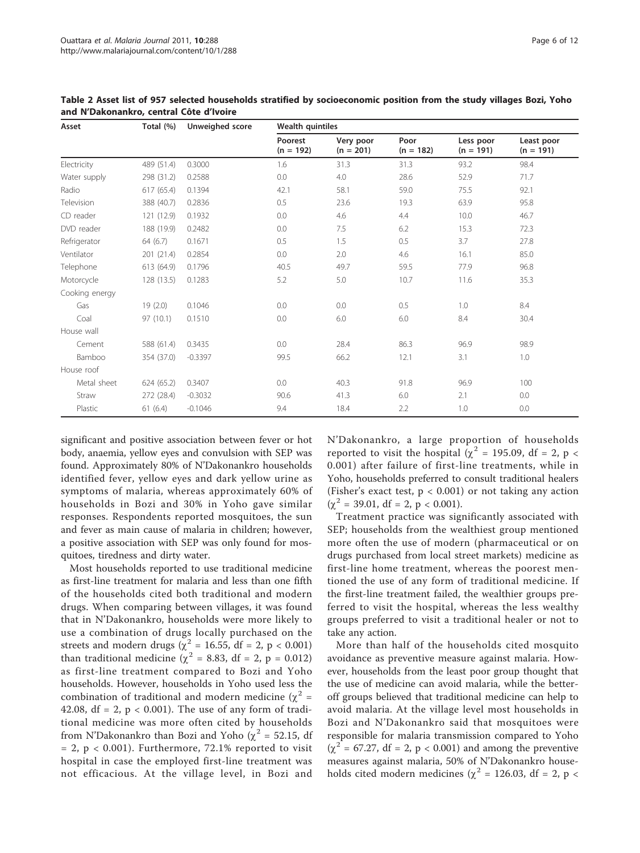| Asset          | Total (%)  | Unweighed score |                        | <b>Wealth quintiles</b>  |                     |                          |                           |  |  |
|----------------|------------|-----------------|------------------------|--------------------------|---------------------|--------------------------|---------------------------|--|--|
|                |            |                 | Poorest<br>$(n = 192)$ | Very poor<br>$(n = 201)$ | Poor<br>$(n = 182)$ | Less poor<br>$(n = 191)$ | Least poor<br>$(n = 191)$ |  |  |
| Electricity    | 489 (51.4) | 0.3000          | 1.6                    | 31.3                     | 31.3                | 93.2                     | 98.4                      |  |  |
| Water supply   | 298 (31.2) | 0.2588          | 0.0                    | 4.0                      | 28.6                | 52.9                     | 71.7                      |  |  |
| Radio          | 617 (65.4) | 0.1394          | 42.1                   | 58.1                     | 59.0                | 75.5                     | 92.1                      |  |  |
| Television     | 388 (40.7) | 0.2836          | 0.5                    | 23.6                     | 19.3                | 63.9                     | 95.8                      |  |  |
| CD reader      | 121 (12.9) | 0.1932          | 0.0                    | 4.6                      | 4.4                 | 10.0                     | 46.7                      |  |  |
| DVD reader     | 188 (19.9) | 0.2482          | 0.0                    | 7.5                      | 6.2                 | 15.3                     | 72.3                      |  |  |
| Refrigerator   | 64 (6.7)   | 0.1671          | 0.5                    | 1.5                      | 0.5                 | 3.7                      | 27.8                      |  |  |
| Ventilator     | 201 (21.4) | 0.2854          | 0.0                    | 2.0                      | 4.6                 | 16.1                     | 85.0                      |  |  |
| Telephone      | 613 (64.9) | 0.1796          | 40.5                   | 49.7                     | 59.5                | 77.9                     | 96.8                      |  |  |
| Motorcycle     | 128 (13.5) | 0.1283          | 5.2                    | 5.0                      | 10.7                | 11.6                     | 35.3                      |  |  |
| Cooking energy |            |                 |                        |                          |                     |                          |                           |  |  |
| Gas            | 19(2.0)    | 0.1046          | 0.0                    | 0.0                      | 0.5                 | 1.0                      | 8.4                       |  |  |
| Coal           | 97 (10.1)  | 0.1510          | 0.0                    | 6.0                      | 6.0                 | 8.4                      | 30.4                      |  |  |
| House wall     |            |                 |                        |                          |                     |                          |                           |  |  |
| Cement         | 588 (61.4) | 0.3435          | 0.0                    | 28.4                     | 86.3                | 96.9                     | 98.9                      |  |  |
| Bamboo         | 354 (37.0) | $-0.3397$       | 99.5                   | 66.2                     | 12.1                | 3.1                      | 1.0                       |  |  |
| House roof     |            |                 |                        |                          |                     |                          |                           |  |  |
| Metal sheet    | 624(65.2)  | 0.3407          | 0.0                    | 40.3                     | 91.8                | 96.9                     | 100                       |  |  |
| Straw          | 272 (28.4) | $-0.3032$       | 90.6                   | 41.3                     | 6.0                 | 2.1                      | 0.0                       |  |  |
| Plastic        | 61(6.4)    | $-0.1046$       | 9.4                    | 18.4                     | 2.2                 | 1.0                      | 0.0                       |  |  |

<span id="page-5-0"></span>Table 2 Asset list of 957 selected households stratified by socioeconomic position from the study villages Bozi, Yoho and N'Dakonankro, central Côte d'Ivoire

significant and positive association between fever or hot body, anaemia, yellow eyes and convulsion with SEP was found. Approximately 80% of N'Dakonankro households identified fever, yellow eyes and dark yellow urine as symptoms of malaria, whereas approximately 60% of households in Bozi and 30% in Yoho gave similar responses. Respondents reported mosquitoes, the sun and fever as main cause of malaria in children; however, a positive association with SEP was only found for mosquitoes, tiredness and dirty water.

Most households reported to use traditional medicine as first-line treatment for malaria and less than one fifth of the households cited both traditional and modern drugs. When comparing between villages, it was found that in N'Dakonankro, households were more likely to use a combination of drugs locally purchased on the streets and modern drugs ( $\chi^2$  = 16.55, df = 2, p < 0.001) than traditional medicine ( $\chi^2$  = 8.83, df = 2, p = 0.012) as first-line treatment compared to Bozi and Yoho households. However, households in Yoho used less the combination of traditional and modern medicine ( $\chi^2$  = 42.08,  $df = 2$ ,  $p < 0.001$ ). The use of any form of traditional medicine was more often cited by households from N'Dakonankro than Bozi and Yoho ( $\chi^2$  = 52.15, df  $= 2$ , p < 0.001). Furthermore, 72.1% reported to visit hospital in case the employed first-line treatment was not efficacious. At the village level, in Bozi and N'Dakonankro, a large proportion of households reported to visit the hospital ( $\chi^2$  = 195.09, df = 2, p < 0.001) after failure of first-line treatments, while in Yoho, households preferred to consult traditional healers (Fisher's exact test,  $p < 0.001$ ) or not taking any action  $(\chi^2 = 39.01, df = 2, p < 0.001).$ 

Treatment practice was significantly associated with SEP; households from the wealthiest group mentioned more often the use of modern (pharmaceutical or on drugs purchased from local street markets) medicine as first-line home treatment, whereas the poorest mentioned the use of any form of traditional medicine. If the first-line treatment failed, the wealthier groups preferred to visit the hospital, whereas the less wealthy groups preferred to visit a traditional healer or not to take any action.

More than half of the households cited mosquito avoidance as preventive measure against malaria. However, households from the least poor group thought that the use of medicine can avoid malaria, while the betteroff groups believed that traditional medicine can help to avoid malaria. At the village level most households in Bozi and N'Dakonankro said that mosquitoes were responsible for malaria transmission compared to Yoho  $(\chi^2 = 67.27, df = 2, p < 0.001)$  and among the preventive measures against malaria, 50% of N'Dakonankro households cited modern medicines ( $\chi^2$  = 126.03, df = 2, p <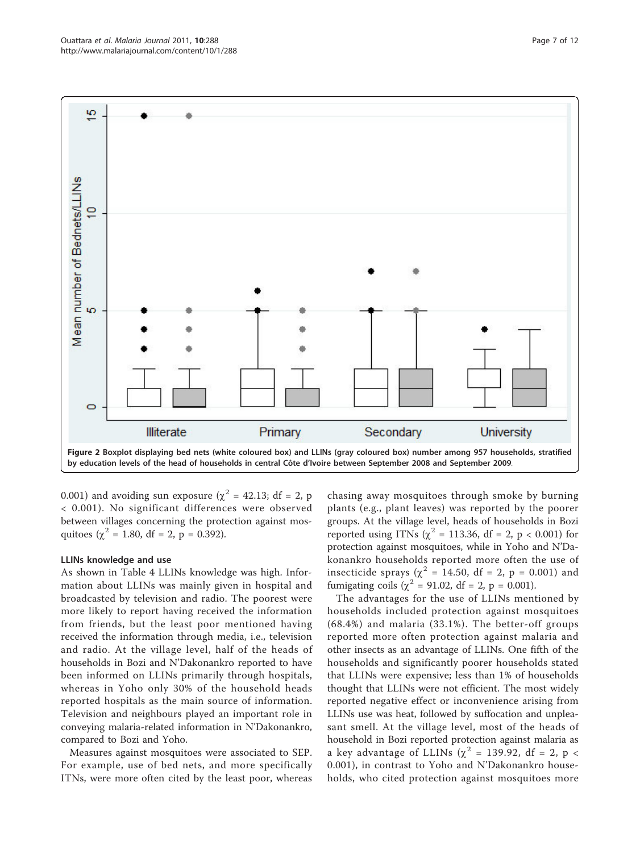<span id="page-6-0"></span>

0.001) and avoiding sun exposure ( $\chi^2$  = 42.13; df = 2, p < 0.001). No significant differences were observed between villages concerning the protection against mosquitoes ( $\chi^2 = 1.80$ , df = 2, p = 0.392).

#### LLINs knowledge and use

As shown in Table [4](#page-9-0) LLINs knowledge was high. Information about LLINs was mainly given in hospital and broadcasted by television and radio. The poorest were more likely to report having received the information from friends, but the least poor mentioned having received the information through media, i.e., television and radio. At the village level, half of the heads of households in Bozi and N'Dakonankro reported to have been informed on LLINs primarily through hospitals, whereas in Yoho only 30% of the household heads reported hospitals as the main source of information. Television and neighbours played an important role in conveying malaria-related information in N'Dakonankro, compared to Bozi and Yoho.

Measures against mosquitoes were associated to SEP. For example, use of bed nets, and more specifically ITNs, were more often cited by the least poor, whereas

chasing away mosquitoes through smoke by burning plants (e.g., plant leaves) was reported by the poorer groups. At the village level, heads of households in Bozi reported using ITNs ( $\chi^2$  = 113.36, df = 2, p < 0.001) for protection against mosquitoes, while in Yoho and N'Dakonankro households reported more often the use of insecticide sprays ( $\chi^2$  = 14.50, df = 2, p = 0.001) and fumigating coils  $(x^2 = 91.02, df = 2, p = 0.001)$ .

The advantages for the use of LLINs mentioned by households included protection against mosquitoes (68.4%) and malaria (33.1%). The better-off groups reported more often protection against malaria and other insects as an advantage of LLINs. One fifth of the households and significantly poorer households stated that LLINs were expensive; less than 1% of households thought that LLINs were not efficient. The most widely reported negative effect or inconvenience arising from LLINs use was heat, followed by suffocation and unpleasant smell. At the village level, most of the heads of household in Bozi reported protection against malaria as a key advantage of LLINs ( $\chi^2$  = 139.92, df = 2, p < 0.001), in contrast to Yoho and N'Dakonankro households, who cited protection against mosquitoes more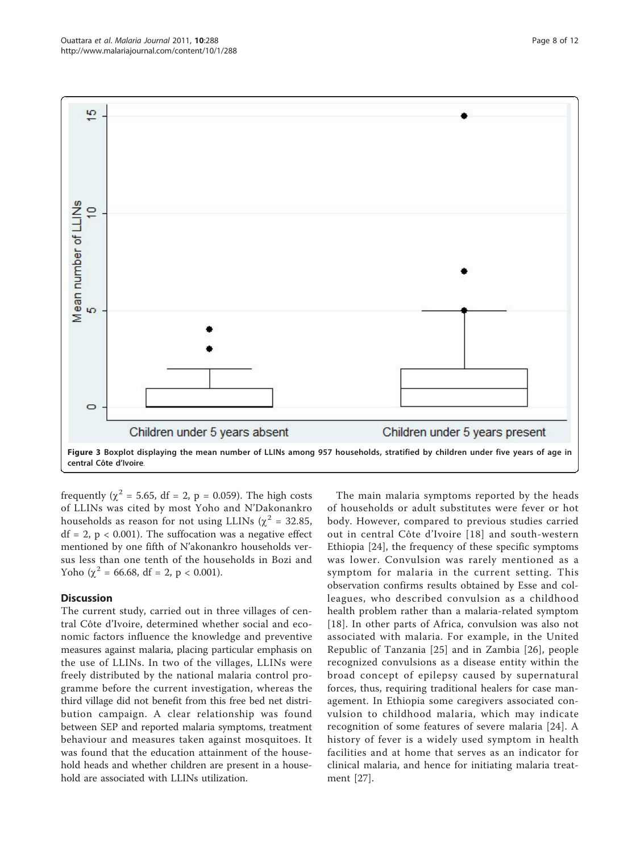<span id="page-7-0"></span>

frequently ( $\chi^2$  = 5.65, df = 2, p = 0.059). The high costs of LLINs was cited by most Yoho and N'Dakonankro households as reason for not using LLINs ( $\chi^2$  = 32.85,  $df = 2$ ,  $p < 0.001$ ). The suffocation was a negative effect mentioned by one fifth of N'akonankro households versus less than one tenth of the households in Bozi and Yoho ( $\chi^2$  = 66.68, df = 2, p < 0.001).

# Discussion

The current study, carried out in three villages of central Côte d'Ivoire, determined whether social and economic factors influence the knowledge and preventive measures against malaria, placing particular emphasis on the use of LLINs. In two of the villages, LLINs were freely distributed by the national malaria control programme before the current investigation, whereas the third village did not benefit from this free bed net distribution campaign. A clear relationship was found between SEP and reported malaria symptoms, treatment behaviour and measures taken against mosquitoes. It was found that the education attainment of the household heads and whether children are present in a household are associated with LLINs utilization.

The main malaria symptoms reported by the heads of households or adult substitutes were fever or hot body. However, compared to previous studies carried out in central Côte d'Ivoire [[18\]](#page-11-0) and south-western Ethiopia [[24\]](#page-11-0), the frequency of these specific symptoms was lower. Convulsion was rarely mentioned as a symptom for malaria in the current setting. This observation confirms results obtained by Esse and colleagues, who described convulsion as a childhood health problem rather than a malaria-related symptom [[18](#page-11-0)]. In other parts of Africa, convulsion was also not associated with malaria. For example, in the United Republic of Tanzania [[25\]](#page-11-0) and in Zambia [[26](#page-11-0)], people recognized convulsions as a disease entity within the broad concept of epilepsy caused by supernatural forces, thus, requiring traditional healers for case management. In Ethiopia some caregivers associated convulsion to childhood malaria, which may indicate recognition of some features of severe malaria [[24](#page-11-0)]. A history of fever is a widely used symptom in health facilities and at home that serves as an indicator for clinical malaria, and hence for initiating malaria treatment [[27\]](#page-11-0).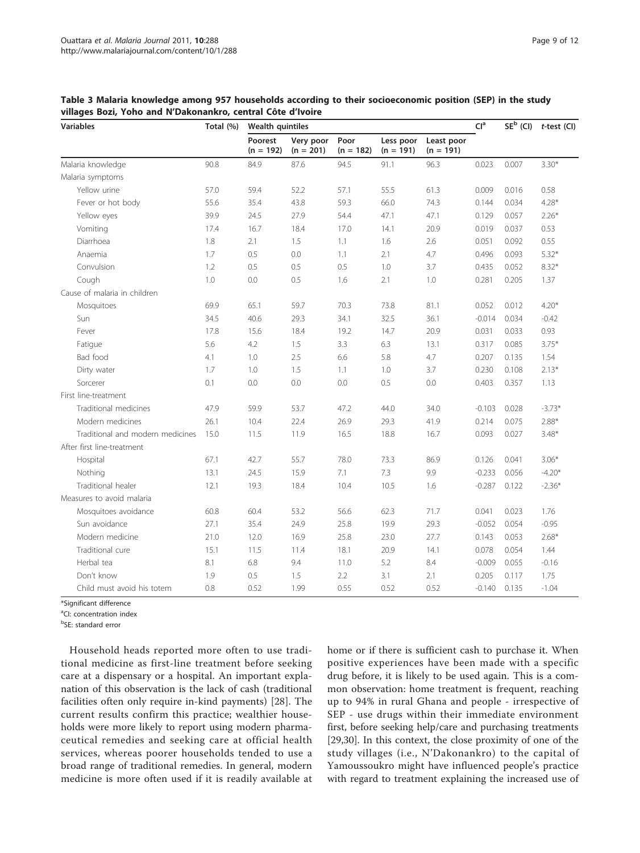| <b>Variables</b>                 | Total (%) | <b>Wealth quintiles</b> |                          |                     |                          |                           | Cl <sup>a</sup> | $SEb$ (CI) | t-test (CI) |
|----------------------------------|-----------|-------------------------|--------------------------|---------------------|--------------------------|---------------------------|-----------------|------------|-------------|
|                                  |           | Poorest<br>$(n = 192)$  | Very poor<br>$(n = 201)$ | Poor<br>$(n = 182)$ | Less poor<br>$(n = 191)$ | Least poor<br>$(n = 191)$ |                 |            |             |
| Malaria knowledge                | 90.8      | 84.9                    | 87.6                     | 94.5                | 91.1                     | 96.3                      | 0.023           | 0.007      | $3.30*$     |
| Malaria symptoms                 |           |                         |                          |                     |                          |                           |                 |            |             |
| Yellow urine                     | 57.0      | 59.4                    | 52.2                     | 57.1                | 55.5                     | 61.3                      | 0.009           | 0.016      | 0.58        |
| Fever or hot body                | 55.6      | 35.4                    | 43.8                     | 59.3                | 66.0                     | 74.3                      | 0.144           | 0.034      | $4.28*$     |
| Yellow eyes                      | 39.9      | 24.5                    | 27.9                     | 54.4                | 47.1                     | 47.1                      | 0.129           | 0.057      | $2.26*$     |
| Vomiting                         | 17.4      | 16.7                    | 18.4                     | 17.0                | 14.1                     | 20.9                      | 0.019           | 0.037      | 0.53        |
| Diarrhoea                        | 1.8       | 2.1                     | 1.5                      | 1.1                 | 1.6                      | 2.6                       | 0.051           | 0.092      | 0.55        |
| Anaemia                          | 1.7       | 0.5                     | 0.0                      | 1.1                 | 2.1                      | 4.7                       | 0.496           | 0.093      | $5.32*$     |
| Convulsion                       | 1.2       | 0.5                     | 0.5                      | 0.5                 | 1.0                      | 3.7                       | 0.435           | 0.052      | $8.32*$     |
| Cough                            | 1.0       | 0.0                     | 0.5                      | 1.6                 | 2.1                      | 1.0                       | 0.281           | 0.205      | 1.37        |
| Cause of malaria in children     |           |                         |                          |                     |                          |                           |                 |            |             |
| Mosquitoes                       | 69.9      | 65.1                    | 59.7                     | 70.3                | 73.8                     | 81.1                      | 0.052           | 0.012      | $4.20*$     |
| Sun                              | 34.5      | 40.6                    | 29.3                     | 34.1                | 32.5                     | 36.1                      | $-0.014$        | 0.034      | $-0.42$     |
| Fever                            | 17.8      | 15.6                    | 18.4                     | 19.2                | 14.7                     | 20.9                      | 0.031           | 0.033      | 0.93        |
| Fatigue                          | 5.6       | 4.2                     | 1.5                      | 3.3                 | 6.3                      | 13.1                      | 0.317           | 0.085      | $3.75*$     |
| Bad food                         | 4.1       | 1.0                     | 2.5                      | 6.6                 | 5.8                      | 4.7                       | 0.207           | 0.135      | 1.54        |
| Dirty water                      | 1.7       | 1.0                     | 1.5                      | 1.1                 | 1.0                      | 3.7                       | 0.230           | 0.108      | $2.13*$     |
| Sorcerer                         | 0.1       | 0.0                     | 0.0                      | 0.0                 | 0.5                      | 0.0                       | 0.403           | 0.357      | 1.13        |
| First line-treatment             |           |                         |                          |                     |                          |                           |                 |            |             |
| Traditional medicines            | 47.9      | 59.9                    | 53.7                     | 47.2                | 44.0                     | 34.0                      | $-0.103$        | 0.028      | $-3.73*$    |
| Modern medicines                 | 26.1      | 10.4                    | 22.4                     | 26.9                | 29.3                     | 41.9                      | 0.214           | 0.075      | $2.88*$     |
| Traditional and modern medicines | 15.0      | 11.5                    | 11.9                     | 16.5                | 18.8                     | 16.7                      | 0.093           | 0.027      | $3.48*$     |
| After first line-treatment       |           |                         |                          |                     |                          |                           |                 |            |             |
| Hospital                         | 67.1      | 42.7                    | 55.7                     | 78.0                | 73.3                     | 86.9                      | 0.126           | 0.041      | $3.06*$     |
| Nothing                          | 13.1      | 24.5                    | 15.9                     | 7.1                 | 7.3                      | 9.9                       | $-0.233$        | 0.056      | $-4.20*$    |
| Traditional healer               | 12.1      | 19.3                    | 18.4                     | 10.4                | 10.5                     | 1.6                       | $-0.287$        | 0.122      | $-2.36*$    |
| Measures to avoid malaria        |           |                         |                          |                     |                          |                           |                 |            |             |
| Mosquitoes avoidance             | 60.8      | 60.4                    | 53.2                     | 56.6                | 62.3                     | 71.7                      | 0.041           | 0.023      | 1.76        |
| Sun avoidance                    | 27.1      | 35.4                    | 24.9                     | 25.8                | 19.9                     | 29.3                      | $-0.052$        | 0.054      | $-0.95$     |
| Modern medicine                  | 21.0      | 12.0                    | 16.9                     | 25.8                | 23.0                     | 27.7                      | 0.143           | 0.053      | $2.68*$     |
| Traditional cure                 | 15.1      | 11.5                    | 11.4                     | 18.1                | 20.9                     | 14.1                      | 0.078           | 0.054      | 1.44        |
| Herbal tea                       | 8.1       | 6.8                     | 9.4                      | 11.0                | 5.2                      | 8.4                       | $-0.009$        | 0.055      | $-0.16$     |
| Don't know                       | 1.9       | 0.5                     | 1.5                      | 2.2                 | 3.1                      | 2.1                       | 0.205           | 0.117      | 1.75        |
| Child must avoid his totem       | 0.8       | 0.52                    | 1.99                     | 0.55                | 0.52                     | 0.52                      | $-0.140$        | 0.135      | $-1.04$     |

<span id="page-8-0"></span>Table 3 Malaria knowledge among 957 households according to their socioeconomic position (SEP) in the study villages Bozi, Yoho and N'Dakonankro, central Côte d'Ivoire

\*Significant difference

<sup>a</sup>CI: concentration index

<sup>b</sup>SE: standard error

Household heads reported more often to use traditional medicine as first-line treatment before seeking care at a dispensary or a hospital. An important explanation of this observation is the lack of cash (traditional facilities often only require in-kind payments) [\[28](#page-11-0)]. The current results confirm this practice; wealthier households were more likely to report using modern pharmaceutical remedies and seeking care at official health services, whereas poorer households tended to use a broad range of traditional remedies. In general, modern medicine is more often used if it is readily available at home or if there is sufficient cash to purchase it. When positive experiences have been made with a specific drug before, it is likely to be used again. This is a common observation: home treatment is frequent, reaching up to 94% in rural Ghana and people - irrespective of SEP - use drugs within their immediate environment first, before seeking help/care and purchasing treatments [[29,30\]](#page-11-0). In this context, the close proximity of one of the study villages (i.e., N'Dakonankro) to the capital of Yamoussoukro might have influenced people's practice with regard to treatment explaining the increased use of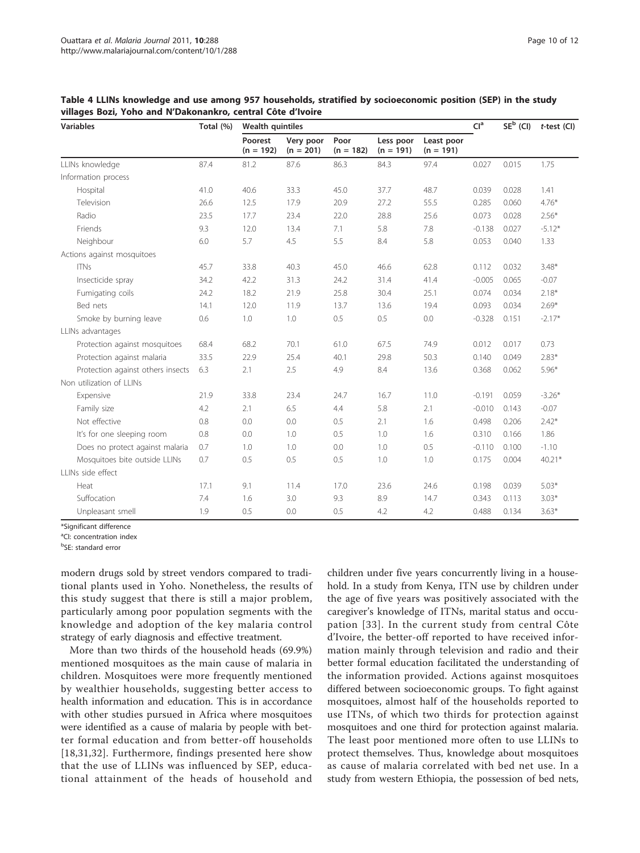| <b>Variables</b>                  | Total (%) | <b>Wealth quintiles</b> |                          |                     |                          |                           | Cl <sup>a</sup> | $SEb$ (CI) | t-test (CI) |
|-----------------------------------|-----------|-------------------------|--------------------------|---------------------|--------------------------|---------------------------|-----------------|------------|-------------|
|                                   |           | Poorest<br>$(n = 192)$  | Very poor<br>$(n = 201)$ | Poor<br>$(n = 182)$ | Less poor<br>$(n = 191)$ | Least poor<br>$(n = 191)$ |                 |            |             |
| LLINs knowledge                   | 87.4      | 81.2                    | 87.6                     | 86.3                | 84.3                     | 97.4                      | 0.027           | 0.015      | 1.75        |
| Information process               |           |                         |                          |                     |                          |                           |                 |            |             |
| Hospital                          | 41.0      | 40.6                    | 33.3                     | 45.0                | 37.7                     | 48.7                      | 0.039           | 0.028      | 1.41        |
| Television                        | 26.6      | 12.5                    | 17.9                     | 20.9                | 27.2                     | 55.5                      | 0.285           | 0.060      | $4.76*$     |
| Radio                             | 23.5      | 17.7                    | 23.4                     | 22.0                | 28.8                     | 25.6                      | 0.073           | 0.028      | $2.56*$     |
| Friends                           | 9.3       | 12.0                    | 13.4                     | 7.1                 | 5.8                      | 7.8                       | $-0.138$        | 0.027      | $-5.12*$    |
| Neighbour                         | 6.0       | 5.7                     | 4.5                      | 5.5                 | 8.4                      | 5.8                       | 0.053           | 0.040      | 1.33        |
| Actions against mosquitoes        |           |                         |                          |                     |                          |                           |                 |            |             |
| <b>ITNs</b>                       | 45.7      | 33.8                    | 40.3                     | 45.0                | 46.6                     | 62.8                      | 0.112           | 0.032      | $3.48*$     |
| Insecticide spray                 | 34.2      | 42.2                    | 31.3                     | 24.2                | 31.4                     | 41.4                      | $-0.005$        | 0.065      | $-0.07$     |
| Fumigating coils                  | 24.2      | 18.2                    | 21.9                     | 25.8                | 30.4                     | 25.1                      | 0.074           | 0.034      | $2.18*$     |
| Bed nets                          | 14.1      | 12.0                    | 11.9                     | 13.7                | 13.6                     | 19.4                      | 0.093           | 0.034      | $2.69*$     |
| Smoke by burning leave            | 0.6       | 1.0                     | 1.0                      | 0.5                 | 0.5                      | 0.0                       | $-0.328$        | 0.151      | $-2.17*$    |
| LLINs advantages                  |           |                         |                          |                     |                          |                           |                 |            |             |
| Protection against mosquitoes     | 68.4      | 68.2                    | 70.1                     | 61.0                | 67.5                     | 74.9                      | 0.012           | 0.017      | 0.73        |
| Protection against malaria        | 33.5      | 22.9                    | 25.4                     | 40.1                | 29.8                     | 50.3                      | 0.140           | 0.049      | $2.83*$     |
| Protection against others insects | 6.3       | 2.1                     | 2.5                      | 4.9                 | 8.4                      | 13.6                      | 0.368           | 0.062      | $5.96*$     |
| Non utilization of LLINs          |           |                         |                          |                     |                          |                           |                 |            |             |
| Expensive                         | 21.9      | 33.8                    | 23.4                     | 24.7                | 16.7                     | 11.0                      | $-0.191$        | 0.059      | $-3.26*$    |
| Family size                       | 4.2       | 2.1                     | 6.5                      | 4.4                 | 5.8                      | 2.1                       | $-0.010$        | 0.143      | $-0.07$     |
| Not effective                     | 0.8       | 0.0                     | 0.0                      | 0.5                 | 2.1                      | 1.6                       | 0.498           | 0.206      | $2.42*$     |
| It's for one sleeping room        | 0.8       | 0.0                     | 1.0                      | 0.5                 | 1.0                      | 1.6                       | 0.310           | 0.166      | 1.86        |
| Does no protect against malaria   | 0.7       | 1.0                     | 1.0                      | 0.0                 | 1.0                      | 0.5                       | $-0.110$        | 0.100      | $-1.10$     |
| Mosquitoes bite outside LLINs     | 0.7       | 0.5                     | 0.5                      | 0.5                 | 1.0                      | 1.0                       | 0.175           | 0.004      | $40.21*$    |
| LLINs side effect                 |           |                         |                          |                     |                          |                           |                 |            |             |
| Heat                              | 17.1      | 9.1                     | 11.4                     | 17.0                | 23.6                     | 24.6                      | 0.198           | 0.039      | $5.03*$     |
| Suffocation                       | 7.4       | 1.6                     | 3.0                      | 9.3                 | 8.9                      | 14.7                      | 0.343           | 0.113      | $3.03*$     |
| Unpleasant smell                  | 1.9       | 0.5                     | 0.0                      | 0.5                 | 4.2                      | 4.2                       | 0.488           | 0.134      | $3.63*$     |

<span id="page-9-0"></span>Table 4 LLINs knowledge and use among 957 households, stratified by socioeconomic position (SEP) in the study villages Bozi, Yoho and N'Dakonankro, central Côte d'Ivoire

\*Significant difference

<sup>a</sup>CI: concentration index

<sup>b</sup>SE: standard error

modern drugs sold by street vendors compared to traditional plants used in Yoho. Nonetheless, the results of this study suggest that there is still a major problem, particularly among poor population segments with the knowledge and adoption of the key malaria control strategy of early diagnosis and effective treatment.

More than two thirds of the household heads (69.9%) mentioned mosquitoes as the main cause of malaria in children. Mosquitoes were more frequently mentioned by wealthier households, suggesting better access to health information and education. This is in accordance with other studies pursued in Africa where mosquitoes were identified as a cause of malaria by people with better formal education and from better-off households [[18](#page-11-0),[31,32](#page-11-0)]. Furthermore, findings presented here show that the use of LLINs was influenced by SEP, educational attainment of the heads of household and

children under five years concurrently living in a household. In a study from Kenya, ITN use by children under the age of five years was positively associated with the caregiver's knowledge of ITNs, marital status and occupation [[33](#page-11-0)]. In the current study from central Côte d'Ivoire, the better-off reported to have received information mainly through television and radio and their better formal education facilitated the understanding of the information provided. Actions against mosquitoes differed between socioeconomic groups. To fight against mosquitoes, almost half of the households reported to use ITNs, of which two thirds for protection against mosquitoes and one third for protection against malaria. The least poor mentioned more often to use LLINs to protect themselves. Thus, knowledge about mosquitoes as cause of malaria correlated with bed net use. In a study from western Ethiopia, the possession of bed nets,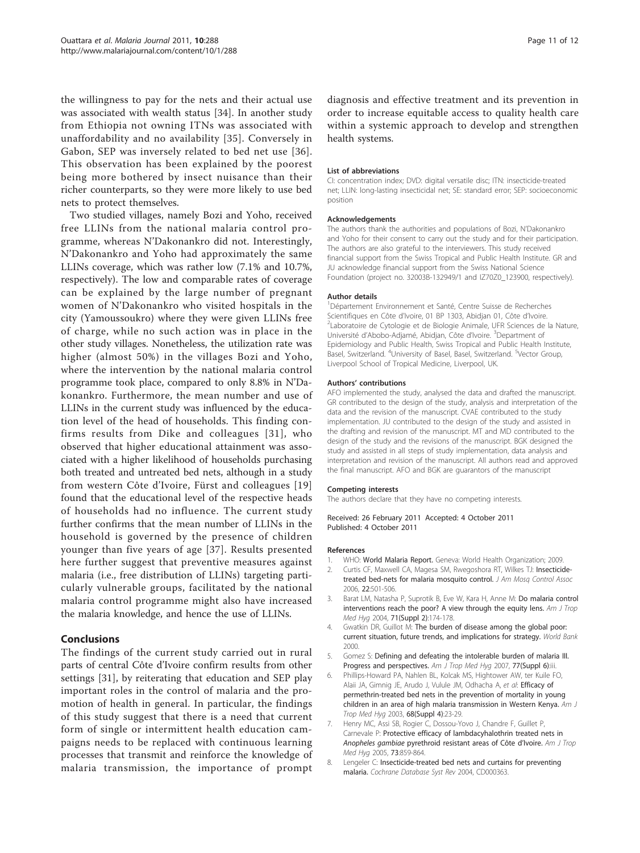<span id="page-10-0"></span>the willingness to pay for the nets and their actual use was associated with wealth status [[34](#page-11-0)]. In another study from Ethiopia not owning ITNs was associated with unaffordability and no availability [\[35\]](#page-11-0). Conversely in Gabon, SEP was inversely related to bed net use [[36](#page-11-0)]. This observation has been explained by the poorest being more bothered by insect nuisance than their richer counterparts, so they were more likely to use bed nets to protect themselves.

Two studied villages, namely Bozi and Yoho, received free LLINs from the national malaria control programme, whereas N'Dakonankro did not. Interestingly, N'Dakonankro and Yoho had approximately the same LLINs coverage, which was rather low (7.1% and 10.7%, respectively). The low and comparable rates of coverage can be explained by the large number of pregnant women of N'Dakonankro who visited hospitals in the city (Yamoussoukro) where they were given LLINs free of charge, while no such action was in place in the other study villages. Nonetheless, the utilization rate was higher (almost 50%) in the villages Bozi and Yoho, where the intervention by the national malaria control programme took place, compared to only 8.8% in N'Dakonankro. Furthermore, the mean number and use of LLINs in the current study was influenced by the education level of the head of households. This finding confirms results from Dike and colleagues [[31\]](#page-11-0), who observed that higher educational attainment was associated with a higher likelihood of households purchasing both treated and untreated bed nets, although in a study from western Côte d'Ivoire, Fürst and colleagues [[19](#page-11-0)] found that the educational level of the respective heads of households had no influence. The current study further confirms that the mean number of LLINs in the household is governed by the presence of children younger than five years of age [[37](#page-11-0)]. Results presented here further suggest that preventive measures against malaria (i.e., free distribution of LLINs) targeting particularly vulnerable groups, facilitated by the national malaria control programme might also have increased the malaria knowledge, and hence the use of LLINs.

# Conclusions

The findings of the current study carried out in rural parts of central Côte d'Ivoire confirm results from other settings [[31\]](#page-11-0), by reiterating that education and SEP play important roles in the control of malaria and the promotion of health in general. In particular, the findings of this study suggest that there is a need that current form of single or intermittent health education campaigns needs to be replaced with continuous learning processes that transmit and reinforce the knowledge of malaria transmission, the importance of prompt

diagnosis and effective treatment and its prevention in order to increase equitable access to quality health care within a systemic approach to develop and strengthen health systems.

#### List of abbreviations

CI: concentration index; DVD: digital versatile disc; ITN: insecticide-treated net; LLIN: long-lasting insecticidal net; SE: standard error; SEP: socioeconomic position

#### Acknowledgements

The authors thank the authorities and populations of Bozi, N'Dakonankro and Yoho for their consent to carry out the study and for their participation. The authors are also grateful to the interviewers. This study received financial support from the Swiss Tropical and Public Health Institute. GR and JU acknowledge financial support from the Swiss National Science Foundation (project no. 32003B-132949/1 and IZ70Z0\_123900, respectively).

#### Author details

<sup>1</sup>Département Environnement et Santé, Centre Suisse de Recherches Scientifiques en Côte d'Ivoire, 01 BP 1303, Abidjan 01, Côte d'Ivoire. <sup>2</sup>Laboratoire de Cytologie et de Biologie Animale, UFR Sciences de la Nature, Université d'Abobo-Adjamé, Abidjan, Côte d'Ivoire. <sup>3</sup>Department of Epidemiology and Public Health, Swiss Tropical and Public Health Institute, Basel, Switzerland. <sup>4</sup>University of Basel, Basel, Switzerland. <sup>5</sup>Vector Group, Liverpool School of Tropical Medicine, Liverpool, UK.

#### Authors' contributions

AFO implemented the study, analysed the data and drafted the manuscript. GR contributed to the design of the study, analysis and interpretation of the data and the revision of the manuscript. CVAE contributed to the study implementation. JU contributed to the design of the study and assisted in the drafting and revision of the manuscript. MT and MD contributed to the design of the study and the revisions of the manuscript. BGK designed the study and assisted in all steps of study implementation, data analysis and interpretation and revision of the manuscript. All authors read and approved the final manuscript. AFO and BGK are guarantors of the manuscript

#### Competing interests

The authors declare that they have no competing interests.

Received: 26 February 2011 Accepted: 4 October 2011 Published: 4 October 2011

#### References

- WHO: World Malaria Report. Geneva: World Health Organization; 2009.
- 2. Curtis CF, Maxwell CA, Magesa SM, Rwegoshora RT, Wilkes TJ: [Insecticide](http://www.ncbi.nlm.nih.gov/pubmed/17067053?dopt=Abstract)[treated bed-nets for malaria mosquito control.](http://www.ncbi.nlm.nih.gov/pubmed/17067053?dopt=Abstract) J Am Mosq Control Assoc 2006, 22:501-506.
- 3. Barat LM, Natasha P, Suprotik B, Eve W, Kara H, Anne M: [Do malaria control](http://www.ncbi.nlm.nih.gov/pubmed/15331835?dopt=Abstract) [interventions reach the poor? A view through the equity lens.](http://www.ncbi.nlm.nih.gov/pubmed/15331835?dopt=Abstract) Am J Trop Med Hyg 2004, 71(Suppl 2):174-178.
- 4. Gwatkin DR, Guillot M: The burden of disease among the global poor: current situation, future trends, and implications for strategy. World Bank 2000.
- 5. Gomez S: Defining and defeating the intolerable burden of malaria III. Progress and perspectives. Am J Trop Med Hyg 2007, 77(Suppl 6):iii.
- 6. Phillips-Howard PA, Nahlen BL, Kolcak MS, Hightower AW, ter Kuile FO, Alaii JA, Gimnig JE, Arudo J, Vulule JM, Odhacha A, et al: [Efficacy of](http://www.ncbi.nlm.nih.gov/pubmed/12749482?dopt=Abstract) [permethrin-treated bed nets in the prevention of mortality in young](http://www.ncbi.nlm.nih.gov/pubmed/12749482?dopt=Abstract) [children in an area of high malaria transmission in Western Kenya.](http://www.ncbi.nlm.nih.gov/pubmed/12749482?dopt=Abstract) Am J Trop Med Hyg 2003, 68(Suppl 4):23-29.
- 7. Henry MC, Assi SB, Rogier C, Dossou-Yovo J, Chandre F, Guillet P, Carnevale P: [Protective efficacy of lambdacyhalothrin treated nets in](http://www.ncbi.nlm.nih.gov/pubmed/16282294?dopt=Abstract) Anopheles gambiae [pyrethroid resistant areas of Côte d](http://www.ncbi.nlm.nih.gov/pubmed/16282294?dopt=Abstract)'Ivoire. Am J Trop Med Hyg 2005, 73:859-864.
- 8. Lengeler C: Insecticide-treated bed nets and curtains for preventing malaria. Cochrane Database Syst Rev 2004, CD000363.